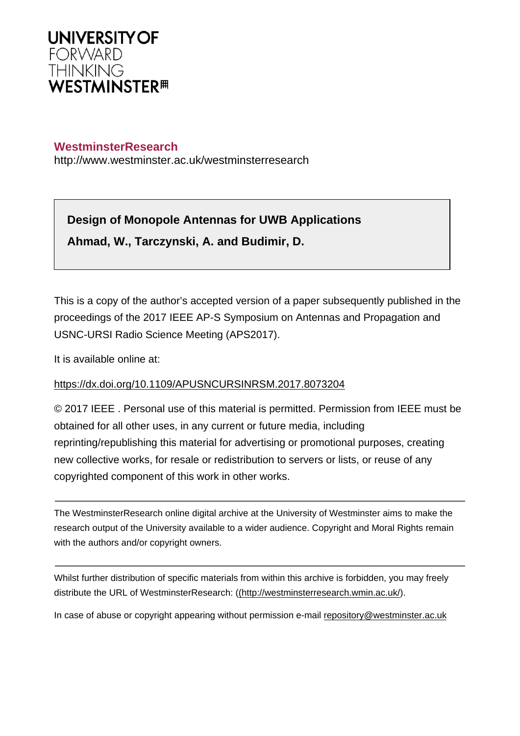

# **WestminsterResearch**

http://www.westminster.ac.uk/westminsterresearch

**Design of Monopole Antennas for UWB Applications Ahmad, W., Tarczynski, A. and Budimir, D.**

This is a copy of the author's accepted version of a paper subsequently published in the proceedings of the 2017 IEEE AP-S Symposium on Antennas and Propagation and USNC-URSI Radio Science Meeting (APS2017).

It is available online at:

## <https://dx.doi.org/10.1109/APUSNCURSINRSM.2017.8073204>

© 2017 IEEE . Personal use of this material is permitted. Permission from IEEE must be obtained for all other uses, in any current or future media, including reprinting/republishing this material for advertising or promotional purposes, creating new collective works, for resale or redistribution to servers or lists, or reuse of any copyrighted component of this work in other works.

The WestminsterResearch online digital archive at the University of Westminster aims to make the research output of the University available to a wider audience. Copyright and Moral Rights remain with the authors and/or copyright owners.

Whilst further distribution of specific materials from within this archive is forbidden, you may freely distribute the URL of WestminsterResearch: [\(\(http://westminsterresearch.wmin.ac.uk/](http://westminsterresearch.wmin.ac.uk/)).

In case of abuse or copyright appearing without permission e-mail <repository@westminster.ac.uk>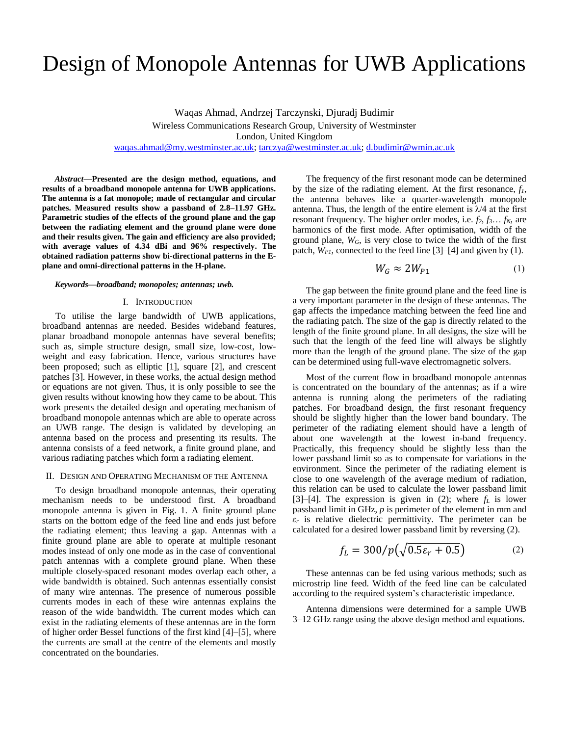# Design of Monopole Antennas for UWB Applications

Waqas Ahmad, Andrzej Tarczynski, Djuradj Budimir Wireless Communications Research Group, University of Westminster London, United Kingdom [waqas.ahmad@my.westminster.ac.uk;](mailto:waqas.ahmad@my.westminster.ac.uk) [tarczya@westminster.ac.uk;](mailto:tarczya@westminster.ac.uk) [d.budimir@wmin.ac.uk](mailto:d.budimir@wmin.ac.uk)

*Abstract***—Presented are the design method, equations, and results of a broadband monopole antenna for UWB applications. The antenna is a fat monopole; made of rectangular and circular patches. Measured results show a passband of 2.8–11.97 GHz. Parametric studies of the effects of the ground plane and the gap between the radiating element and the ground plane were done and their results given. The gain and efficiency are also provided; with average values of 4.34 dBi and 96% respectively. The obtained radiation patterns show bi-directional patterns in the Eplane and omni-directional patterns in the H-plane.**

#### *Keywords—broadband; monopoles; antennas; uwb.*

### I. INTRODUCTION

To utilise the large bandwidth of UWB applications, broadband antennas are needed. Besides wideband features, planar broadband monopole antennas have several benefits; such as, simple structure design, small size, low-cost, lowweight and easy fabrication. Hence, various structures have been proposed; such as elliptic [1], square [2], and crescent patches [3]. However, in these works, the actual design method or equations are not given. Thus, it is only possible to see the given results without knowing how they came to be about. This work presents the detailed design and operating mechanism of broadband monopole antennas which are able to operate across an UWB range. The design is validated by developing an antenna based on the process and presenting its results. The antenna consists of a feed network, a finite ground plane, and various radiating patches which form a radiating element.

### II. DESIGN AND OPERATING MECHANISM OF THE ANTENNA

To design broadband monopole antennas, their operating mechanism needs to be understood first. A broadband monopole antenna is given in Fig. 1. A finite ground plane starts on the bottom edge of the feed line and ends just before the radiating element; thus leaving a gap. Antennas with a finite ground plane are able to operate at multiple resonant modes instead of only one mode as in the case of conventional patch antennas with a complete ground plane. When these multiple closely-spaced resonant modes overlap each other, a wide bandwidth is obtained. Such antennas essentially consist of many wire antennas. The presence of numerous possible currents modes in each of these wire antennas explains the reason of the wide bandwidth. The current modes which can exist in the radiating elements of these antennas are in the form of higher order Bessel functions of the first kind [4]–[5], where the currents are small at the centre of the elements and mostly concentrated on the boundaries.

The frequency of the first resonant mode can be determined by the size of the radiating element. At the first resonance, *f1*, the antenna behaves like a quarter-wavelength monopole antenna. Thus, the length of the entire element is  $\lambda/4$  at the first resonant frequency. The higher order modes, i.e. *f2*, *f3*… *fN*, are harmonics of the first mode. After optimisation, width of the ground plane, *WG*, is very close to twice the width of the first patch, *WP1*, connected to the feed line [3]–[4] and given by (1).

$$
W_G \approx 2W_{P1} \tag{1}
$$

The gap between the finite ground plane and the feed line is a very important parameter in the design of these antennas. The gap affects the impedance matching between the feed line and the radiating patch. The size of the gap is directly related to the length of the finite ground plane. In all designs, the size will be such that the length of the feed line will always be slightly more than the length of the ground plane. The size of the gap can be determined using full-wave electromagnetic solvers.

Most of the current flow in broadband monopole antennas is concentrated on the boundary of the antennas; as if a wire antenna is running along the perimeters of the radiating patches. For broadband design, the first resonant frequency should be slightly higher than the lower band boundary. The perimeter of the radiating element should have a length of about one wavelength at the lowest in-band frequency. Practically, this frequency should be slightly less than the lower passband limit so as to compensate for variations in the environment. Since the perimeter of the radiating element is close to one wavelength of the average medium of radiation, this relation can be used to calculate the lower passband limit [3]–[4]. The expression is given in (2); where  $f_L$  is lower passband limit in GHz, *p* is perimeter of the element in mm and  $\epsilon_r$  is relative dielectric permittivity. The perimeter can be calculated for a desired lower passband limit by reversing (2).

$$
f_L = 300/p \left(\sqrt{0.5\varepsilon_r + 0.5}\right) \tag{2}
$$

These antennas can be fed using various methods; such as microstrip line feed. Width of the feed line can be calculated according to the required system's characteristic impedance.

Antenna dimensions were determined for a sample UWB 3–12 GHz range using the above design method and equations.